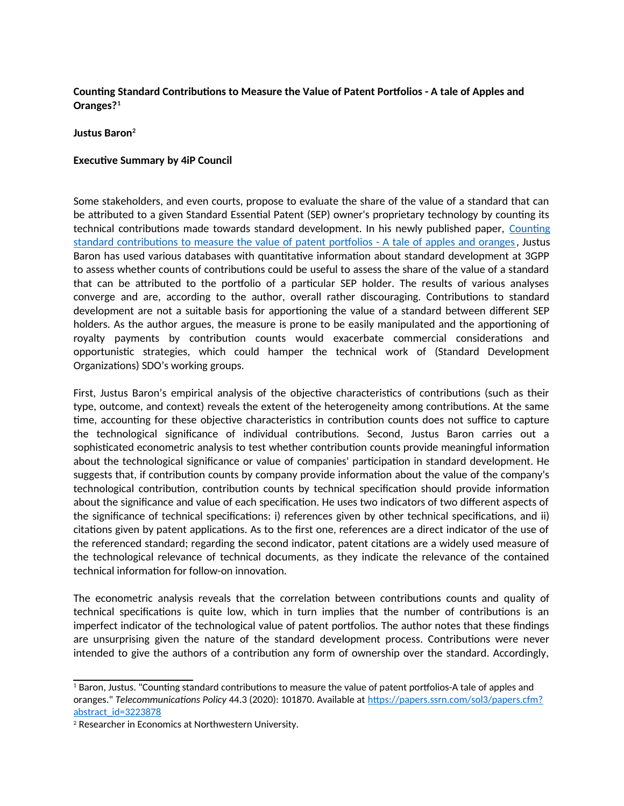## **Counting Standard Contributions to Measure the Value of Patent Portfolios - A tale of Apples and Oranges?[1](#page-0-0)**

## **Justus Baron[2](#page-0-1)**

## **Executive Summary by 4iP Council**

Some stakeholders, and even courts, propose to evaluate the share of the value of a standard that can be attributed to a given Standard Essential Patent (SEP) owner's proprietary technology by counting its technical contributions made towards standard development. In his newly published paper, [Counting](https://papers.ssrn.com/sol3/papers.cfm?abstract_id=3223878) [standard contributions to measure the value of patent portfolios - A tale of apples and oranges,](https://papers.ssrn.com/sol3/papers.cfm?abstract_id=3223878) Justus Baron has used various databases with quantitative information about standard development at 3GPP to assess whether counts of contributions could be useful to assess the share of the value of a standard that can be attributed to the portfolio of a particular SEP holder. The results of various analyses converge and are, according to the author, overall rather discouraging. Contributions to standard development are not a suitable basis for apportioning the value of a standard between different SEP holders. As the author argues, the measure is prone to be easily manipulated and the apportioning of royalty payments by contribution counts would exacerbate commercial considerations and opportunistic strategies, which could hamper the technical work of (Standard Development Organizations) SDO's working groups.

First, Justus Baron's empirical analysis of the objective characteristics of contributions (such as their type, outcome, and context) reveals the extent of the heterogeneity among contributions. At the same time, accounting for these objective characteristics in contribution counts does not suffice to capture the technological significance of individual contributions. Second, Justus Baron carries out a sophisticated econometric analysis to test whether contribution counts provide meaningful information about the technological significance or value of companies' participation in standard development. He suggests that, if contribution counts by company provide information about the value of the company's technological contribution, contribution counts by technical specification should provide information about the significance and value of each specification. He uses two indicators of two different aspects of the significance of technical specifications: i) references given by other technical specifications, and ii) citations given by patent applications. As to the first one, references are a direct indicator of the use of the referenced standard; regarding the second indicator, patent citations are a widely used measure of the technological relevance of technical documents, as they indicate the relevance of the contained technical information for follow-on innovation.

The econometric analysis reveals that the correlation between contributions counts and quality of technical specifications is quite low, which in turn implies that the number of contributions is an imperfect indicator of the technological value of patent portfolios. The author notes that these findings are unsurprising given the nature of the standard development process. Contributions were never intended to give the authors of a contribution any form of ownership over the standard. Accordingly,

<span id="page-0-0"></span><sup>1</sup> Baron, Justus. "Counting standard contributions to measure the value of patent portfolios-A tale of apples and oranges." *Telecommunications Policy* 44.3 (2020): 101870. Available at [https://papers.ssrn.com/sol3/papers.cfm?](https://papers.ssrn.com/sol3/papers.cfm?abstract_id=3223878) [abstract\\_id=3223878](https://papers.ssrn.com/sol3/papers.cfm?abstract_id=3223878)

<span id="page-0-1"></span><sup>2</sup> Researcher in Economics at Northwestern University.